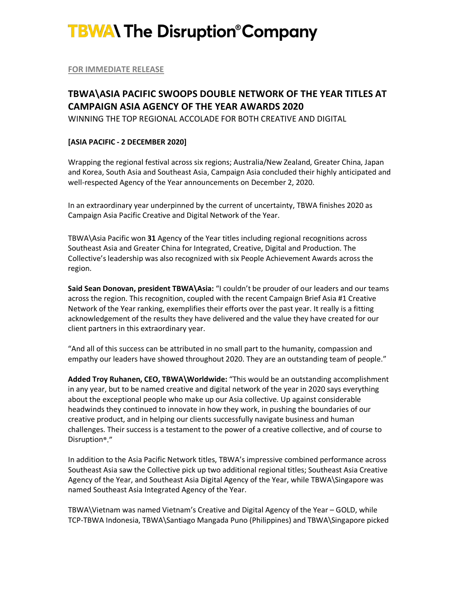# **TBWA\ The Disruption®Company**

**FOR IMMEDIATE RELEASE**

## **TBWA\ASIA PACIFIC SWOOPS DOUBLE NETWORK OF THE YEAR TITLES AT CAMPAIGN ASIA AGENCY OF THE YEAR AWARDS 2020**

WINNING THE TOP REGIONAL ACCOLADE FOR BOTH CREATIVE AND DIGITAL

### **[ASIA PACIFIC - 2 DECEMBER 2020]**

Wrapping the regional festival across six regions; Australia/New Zealand, Greater China, Japan and Korea, South Asia and Southeast Asia, Campaign Asia concluded their highly anticipated and well-respected Agency of the Year announcements on December 2, 2020.

In an extraordinary year underpinned by the current of uncertainty, TBWA finishes 2020 as Campaign Asia Pacific Creative and Digital Network of the Year.

TBWA\Asia Pacific won **31** Agency of the Year titles including regional recognitions across Southeast Asia and Greater China for Integrated, Creative, Digital and Production. The Collective's leadership was also recognized with six People Achievement Awards across the region.

**Said Sean Donovan, president TBWA\Asia:** "I couldn't be prouder of our leaders and our teams across the region. This recognition, coupled with the recent Campaign Brief Asia #1 Creative Network of the Year ranking, exemplifies their efforts over the past year. It really is a fitting acknowledgement of the results they have delivered and the value they have created for our client partners in this extraordinary year.

"And all of this success can be attributed in no small part to the humanity, compassion and empathy our leaders have showed throughout 2020. They are an outstanding team of people."

**Added Troy Ruhanen, CEO, TBWA\Worldwide:** "This would be an outstanding accomplishment in any year, but to be named creative and digital network of the year in 2020 says everything about the exceptional people who make up our Asia collective. Up against considerable headwinds they continued to innovate in how they work, in pushing the boundaries of our creative product, and in helping our clients successfully navigate business and human challenges. Their success is a testament to the power of a creative collective, and of course to Disruption®."

In addition to the Asia Pacific Network titles, TBWA'simpressive combined performance across Southeast Asia saw the Collective pick up two additional regional titles; Southeast Asia Creative Agency of the Year, and Southeast Asia Digital Agency of the Year, while TBWA\Singapore was named Southeast Asia Integrated Agency of the Year.

TBWA\Vietnam was named Vietnam's Creative and Digital Agency of the Year – GOLD, while TCP-TBWA Indonesia, TBWA\Santiago Mangada Puno (Philippines) and TBWA\Singapore picked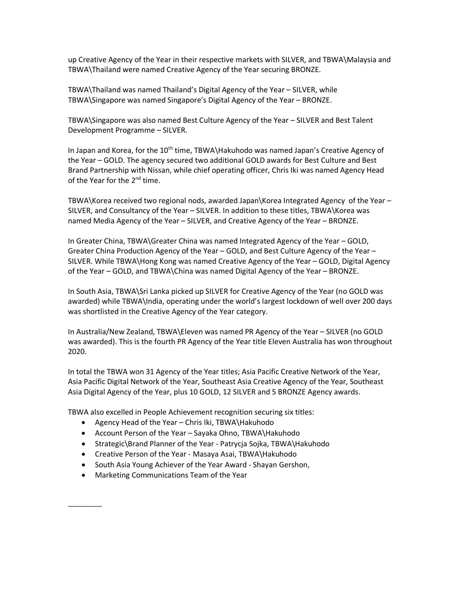up Creative Agency of the Year in their respective markets with SILVER, and TBWA\Malaysia and TBWA\Thailand were named Creative Agency of the Year securing BRONZE.

TBWA\Thailand was named Thailand's Digital Agency of the Year – SILVER, while TBWA\Singapore was named Singapore's Digital Agency of the Year – BRONZE.

TBWA\Singapore was also named Best Culture Agency of the Year – SILVER and Best Talent Development Programme – SILVER.

In Japan and Korea, for the  $10<sup>th</sup>$  time, TBWA Hakuhodo was named Japan's Creative Agency of the Year – GOLD. The agency secured two additional GOLD awards for Best Culture and Best Brand Partnership with Nissan, while chief operating officer, Chris Iki was named Agency Head of the Year for the 2<sup>nd</sup> time.

TBWA\Korea received two regional nods, awarded Japan\Korea Integrated Agency of the Year – SILVER, and Consultancy of the Year – SILVER. In addition to these titles, TBWA\Korea was named Media Agency of the Year – SILVER, and Creative Agency of the Year – BRONZE.

In Greater China, TBWA\Greater China was named Integrated Agency of the Year – GOLD, Greater China Production Agency of the Year – GOLD, and Best Culture Agency of the Year – SILVER. While TBWA\Hong Kong was named Creative Agency of the Year – GOLD, Digital Agency of the Year – GOLD, and TBWA\China was named Digital Agency of the Year – BRONZE.

In South Asia, TBWA\Sri Lanka picked up SILVER for Creative Agency of the Year (no GOLD was awarded) while TBWA\India, operating under the world's largest lockdown of well over 200 days was shortlisted in the Creative Agency of the Year category.

In Australia/New Zealand, TBWA\Eleven was named PR Agency of the Year – SILVER (no GOLD was awarded). This is the fourth PR Agency of the Year title Eleven Australia has won throughout 2020.

In total the TBWA won 31 Agency of the Year titles; Asia Pacific Creative Network of the Year, Asia Pacific Digital Network of the Year, Southeast Asia Creative Agency of the Year, Southeast Asia Digital Agency of the Year, plus 10 GOLD, 12 SILVER and 5 BRONZE Agency awards.

TBWA also excelled in People Achievement recognition securing six titles:

- Agency Head of the Year Chris Iki, TBWA\Hakuhodo
- Account Person of the Year Sayaka Ohno, TBWA\Hakuhodo
- Strategic\Brand Planner of the Year Patrycja Sojka, TBWA\Hakuhodo
- Creative Person of the Year Masaya Asai, TBWA\Hakuhodo
- South Asia Young Achiever of the Year Award Shayan Gershon,
- Marketing Communications Team of the Year

\_\_\_\_\_\_\_\_\_